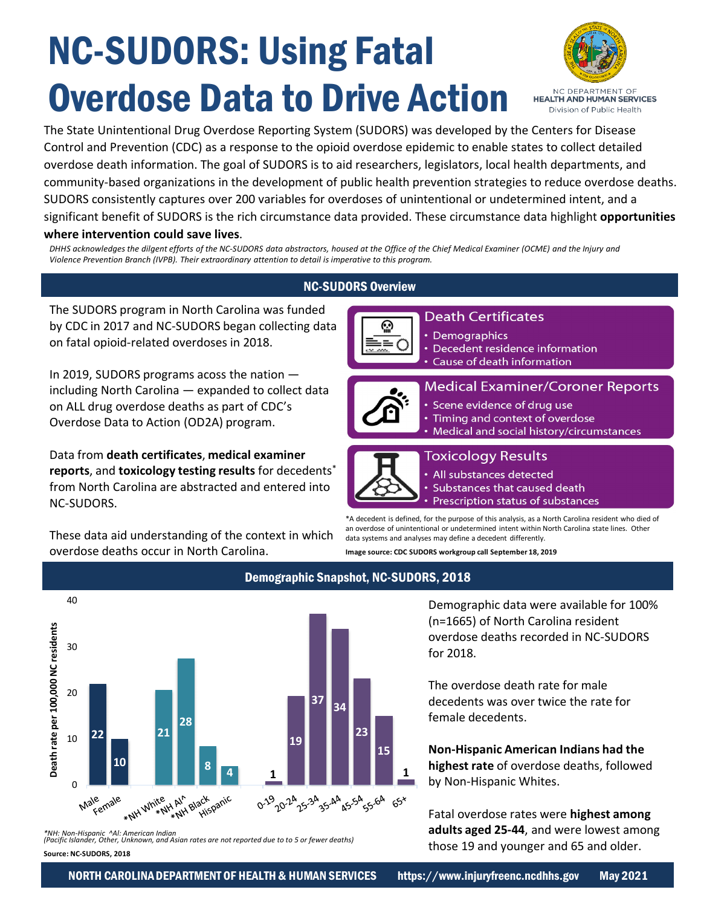# NC-SUDORS: Using Fatal Overdose Data to Drive Action



The State Unintentional Drug Overdose Reporting System (SUDORS) was developed by the Centers for Disease Control and Prevention (CDC) as a response to the opioid overdose epidemic to enable states to collect detailed overdose death information. The goal of SUDORS is to aid researchers, legislators, local health departments, and community-based organizations in the development of public health prevention strategies to reduce overdose deaths. SUDORS consistently captures over 200 variables for overdoses of unintentional or undetermined intent, and a significant benefit of SUDORS is the rich circumstance data provided. These circumstance data highlight **opportunities where intervention could save lives**.

*DHHS acknowledges the dilgent efforts of the NC-SUDORS data abstractors, housed at the Office of the Chief Medical Examiner (OCME) and the Injury and Violence Prevention Branch (IVPB). Their extraordinary attention to detail is imperative to this program.*

# NC-SUDORS Overview

The SUDORS program in North Carolina was funded by CDC in 2017 and NC-SUDORS began collecting data on fatal opioid-related overdoses in 2018.

In 2019, SUDORS programs acoss the nation including North Carolina — expanded to collect data on ALL drug overdose deaths as part of CDC's Overdose Data to Action (OD2A) program.

Data from **death certificates**, **medical examiner reports**, and **toxicology testing results** for decedents\* from North Carolina are abstracted and entered into NC-SUDORS.

These data aid understanding of the context in which overdose deaths occur in North Carolina.



 $=$ 

Demographics • Decedent residence information Cause of death information



# **Medical Examiner/Coroner Reports**

- Scene evidence of drug use
- Timing and context of overdose
- Medical and social history/circumstances



# **Toxicology Results**

- All substances detected
- Substances that caused death
- Prescription status of substances

\*A decedent is defined, for the purpose of this analysis, as a North Carolina resident who died of an overdose of unintentional or undetermined intent within North Carolina state lines. Other data systems and analyses may define a decedent differently.

**Image source: CDC SUDORS workgroup call September 18, 2019** 



*\*NH: Non-Hispanic ^Al: American Indian (Pacific Islander, Other, Unknown, and Asian rates are not reported due to to 5 or fewer deaths)* **Source: NC-SUDORS, 2018** 

# Demographic Snapshot, NC-SUDORS, 2018

Demographic data were available for 100% (n=1665) of North Carolina resident overdose deaths recorded in NC-SUDORS for 2018.

The overdose death rate for male decedents was over twice the rate for female decedents.

**Non-Hispanic American Indians had the highest rate** of overdose deaths, followed by Non-Hispanic Whites.

Fatal overdose rates were **highest among adults aged 25-44**, and were lowest among those 19 and younger and 65 and older.